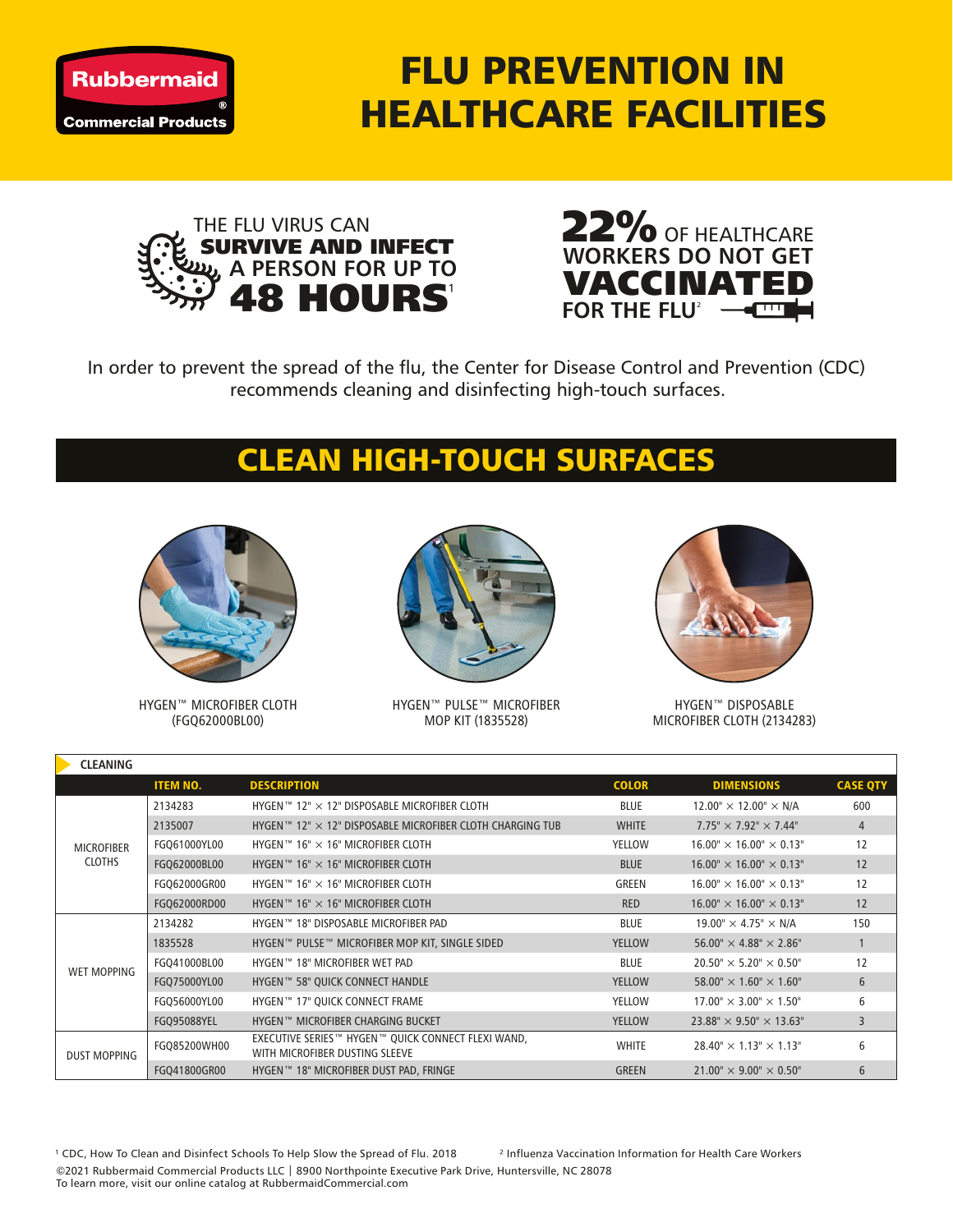

## FLU PREVENTION IN HEALTHCARE FACILITIES





In order to prevent the spread of the flu, the Center for Disease Control and Prevention (CDC) recommends cleaning and disinfecting high-touch surfaces.

## CLEAN HIGH-TOUCH SURFACES



HYGEN™ MICROFIBER CLOTH (FGQ62000BL00)



HYGEN™ PULSE™ MICROFIBER MOP KIT (1835528)



HYGEN™ DISPOSABLE MICROFIBER CLOTH (2134283)

| <b>CLEANING</b>                    |                 |                                                                                      |               |                                        |                 |  |  |  |  |  |
|------------------------------------|-----------------|--------------------------------------------------------------------------------------|---------------|----------------------------------------|-----------------|--|--|--|--|--|
|                                    | <b>ITEM NO.</b> | <b>DESCRIPTION</b>                                                                   | <b>COLOR</b>  | <b>DIMENSIONS</b>                      | <b>CASE QTY</b> |  |  |  |  |  |
| <b>MICROFIBER</b><br><b>CLOTHS</b> | 2134283         | HYGEN $12" \times 12"$ DISPOSABLE MICROFIBER CLOTH                                   | <b>BLUE</b>   | $12.00'' \times 12.00'' \times N/A$    | 600             |  |  |  |  |  |
|                                    | 2135007         | HYGEN™ 12" $\times$ 12" DISPOSABLE MICROFIBER CLOTH CHARGING TUB                     | <b>WHITE</b>  | $7.75" \times 7.92" \times 7.44"$      | $\overline{4}$  |  |  |  |  |  |
|                                    | FGQ61000YL00    | HYGEN™ 16" $\times$ 16" MICROFIBER CLOTH                                             | <b>YELLOW</b> | $16.00'' \times 16.00'' \times 0.13''$ | 12              |  |  |  |  |  |
|                                    | FGQ62000BL00    | HYGEN $M$ 16" $\times$ 16" MICROFIBER CLOTH                                          | <b>BLUE</b>   | $16.00'' \times 16.00'' \times 0.13''$ | 12              |  |  |  |  |  |
|                                    | FGQ62000GR00    | HYGEN $M$ 16" $\times$ 16" MICROFIBER CLOTH                                          | <b>GREEN</b>  | $16.00'' \times 16.00'' \times 0.13''$ | 12              |  |  |  |  |  |
|                                    | FGQ62000RD00    | HYGEN $M$ 16" $\times$ 16" MICROFIBER CLOTH                                          | <b>RED</b>    | $16.00'' \times 16.00'' \times 0.13''$ | 12              |  |  |  |  |  |
| <b>WET MOPPING</b>                 | 2134282         | HYGEN™ 18" DISPOSABLE MICROFIBER PAD                                                 | <b>BLUE</b>   | $19.00'' \times 4.75'' \times N/A$     | 150             |  |  |  |  |  |
|                                    | 1835528         | HYGEN™ PULSE™ MICROFIBER MOP KIT, SINGLE SIDED                                       | <b>YELLOW</b> | $56.00'' \times 4.88'' \times 2.86''$  | $\mathbf{1}$    |  |  |  |  |  |
|                                    | FGQ41000BL00    | HYGEN™ 18" MICROFIBER WET PAD                                                        | <b>BLUE</b>   | $20.50'' \times 5.20'' \times 0.50''$  | 12              |  |  |  |  |  |
|                                    | FGQ75000YL00    | HYGEN™ 58" QUICK CONNECT HANDLE                                                      | <b>YELLOW</b> | $58.00'' \times 1.60'' \times 1.60''$  | 6               |  |  |  |  |  |
|                                    | FGQ56000YL00    | HYGEN™ 17" QUICK CONNECT FRAME                                                       | <b>YELLOW</b> | $17.00'' \times 3.00'' \times 1.50''$  | 6               |  |  |  |  |  |
|                                    | FGQ95088YEL     | HYGEN™ MICROFIBER CHARGING BUCKET                                                    | <b>YELLOW</b> | $23.88" \times 9.50" \times 13.63"$    | 3               |  |  |  |  |  |
| <b>DUST MOPPING</b>                | FGQ85200WH00    | EXECUTIVE SERIES™ HYGEN™ QUICK CONNECT FLEXI WAND,<br>WITH MICROFIBER DUSTING SLEEVE | <b>WHITE</b>  | $28.40'' \times 1.13'' \times 1.13''$  | 6               |  |  |  |  |  |
|                                    | FGQ41800GR00    | HYGEN™ 18" MICROFIBER DUST PAD, FRINGE                                               | <b>GREEN</b>  | $21.00'' \times 9.00'' \times 0.50''$  | 6               |  |  |  |  |  |

<sup>1</sup> CDC, How To Clean and Disinfect Schools To Help Slow the Spread of Flu. 2018 <sup>2</sup> Influenza Vaccination Information for Health Care Workers ©2021 Rubbermaid Commercial Products LLC | 8900 Northpointe Executive Park Drive, Huntersville, NC 28078 To learn more, visit our online catalog at RubbermaidCommercial.com